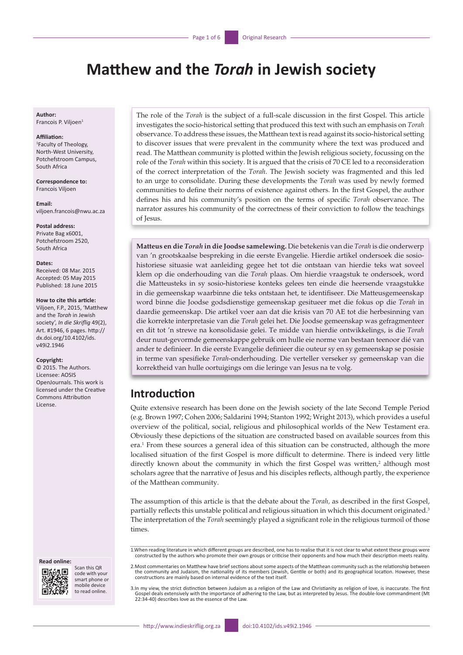# **Matthew and the** *Torah* **in Jewish society**

**Author:** Francois P. Viljoen<sup>1</sup>

#### **Affiliation:**

1 Faculty of Theology, North-West University, Potchefstroom Campus, South Africa

**Correspondence to:** Francois Viljoen

**Email:** [viljoen.francois@nwu.ac.za](mailto:viljoen.francois@nwu.ac.za)

#### **Postal address:**

Private Bag x6001, Potchefstroom 2520, South Africa

#### **Dates:**

Received: 08 Mar. 2015 Accepted: 05 May 2015 Published: 18 June 2015

#### **How to cite this article:**

Viljoen, F.P., 2015, 'Matthew and the *Torah* in Jewish society', *In die Skriflig* 49(2), Art. #1946, 6 pages. [http://](http://dx.doi.org/10.4102/ids.v49i1.1946) [dx.doi.org/10.4102/ids.](http://dx.doi.org/10.4102/ids.v49i1.1946) [v49i2.1946](http://dx.doi.org/10.4102/ids.v49i1.1946)

#### **Copyright:**

© 2015. The Authors. Licensee: AOSIS OpenJournals. This work is licensed under the Creative Commons Attribution License.

#### **Read online:**



Scan this QR code with your smart phone or mobile device to read online.

The role of the *Torah* is the subject of a full-scale discussion in the first Gospel. This article investigates the socio-historical setting that produced this text with such an emphasis on *Torah* observance. To address these issues, the Matthean text is read against its socio-historical setting to discover issues that were prevalent in the community where the text was produced and read. The Matthean community is plotted within the Jewish religious society, focussing on the role of the *Torah* within this society. It is argued that the crisis of 70 CE led to a reconsideration of the correct interpretation of the *Torah*. The Jewish society was fragmented and this led to an urge to consolidate. During these developments the *Torah* was used by newly formed communities to define their norms of existence against others. In the first Gospel, the author defines his and his community's position on the terms of specific *Torah* observance. The narrator assures his community of the correctness of their conviction to follow the teachings of Jesus.

**Matteus en die** *Torah* **in die Joodse samelewing.** Die betekenis van die *Torah* is die onderwerp van 'n grootskaalse bespreking in die eerste Evangelie. Hierdie artikel ondersoek die sosiohistoriese situasie wat aanleiding gegee het tot die ontstaan van hierdie teks wat soveel klem op die onderhouding van die *Torah* plaas. Om hierdie vraagstuk te ondersoek, word die Matteusteks in sy sosio-historiese konteks gelees ten einde die heersende vraagstukke in die gemeenskap waarbinne die teks ontstaan het, te identifiseer. Die Matteusgemeenskap word binne die Joodse godsdienstige gemeenskap gesitueer met die fokus op die *Torah* in daardie gemeenskap. Die artikel voer aan dat die krisis van 70 AE tot die herbesinning van die korrekte interpretasie van die *Torah* gelei het. Die Joodse gemeenskap was gefragmenteer en dit tot 'n strewe na konsolidasie gelei. Te midde van hierdie ontwikkelings, is die *Torah* deur nuut-gevormde gemeenskappe gebruik om hulle eie norme van bestaan teenoor dié van ander te definieer. In die eerste Evangelie definieer die outeur sy en sy gemeenskap se posisie in terme van spesifieke *Torah*-onderhouding. Die verteller verseker sy gemeenskap van die korrektheid van hulle oortuigings om die leringe van Jesus na te volg.

# **Introduction**

Quite extensive research has been done on the Jewish society of the late Second Temple Period (e.g. Brown 1997; Cohen 2006; Saldarini 1994; Stanton 1992; Wright 2013), which provides a useful overview of the political, social, religious and philosophical worlds of the New Testament era. Obviously these depictions of the situation are constructed based on available sources from this era.<sup>1</sup> From these sources a general idea of this situation can be constructed, although the more localised situation of the first Gospel is more difficult to determine. There is indeed very little directly known about the community in which the first Gospel was written, $2$  although most scholars agree that the narrative of Jesus and his disciples reflects, although partly, the experience of the Matthean community.

The assumption of this article is that the debate about the *Torah,* as described in the first Gospel, partially reflects this unstable political and religious situation in which this document originated.3 The interpretation of the *Torah* seemingly played a significant role in the religious turmoil of those times.

1.When reading literature in which different groups are described, one has to realise that it is not clear to what extent these groups were constructed by the authors who promote their own groups or criticise their opponents and how much their description meets reality.

2.Most commentaries on Matthew have brief sections about some aspects of the Matthean community such as the relationship between the community and Judaism, the nationality of its members (Jewish, Gentile or both) and its geographical location. However, these constructions are mainly based on internal evidence of the text itself.

3.In my view, the strict distinction between Judaism as a religion of the Law and Christianity as religion of love, is inaccurate. The first<br>Gospel deals extensively with the importance of adhering to the Law, but as inter 22:34-40) describes love as the essence of the Law.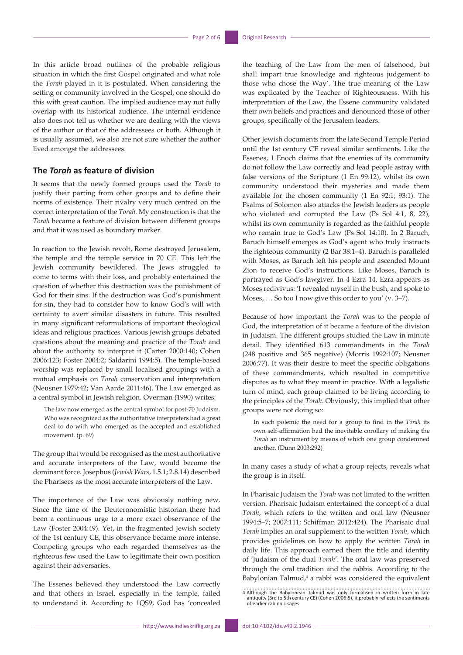In this article broad outlines of the probable religious situation in which the first Gospel originated and what role the *Torah* played in it is postulated. When considering the setting or community involved in the Gospel, one should do this with great caution. The implied audience may not fully overlap with its historical audience. The internal evidence also does not tell us whether we are dealing with the views of the author or that of the addressees or both. Although it is usually assumed, we also are not sure whether the author lived amongst the addressees.

## **The** *Torah* **as feature of division**

It seems that the newly formed groups used the *Torah* to justify their parting from other groups and to define their norms of existence. Their rivalry very much centred on the correct interpretation of the *Torah.* My construction is that the *Torah* became a feature of division between different groups and that it was used as boundary marker.

In reaction to the Jewish revolt, Rome destroyed Jerusalem, the temple and the temple service in 70 CE. This left the Jewish community bewildered. The Jews struggled to come to terms with their loss, and probably entertained the question of whether this destruction was the punishment of God for their sins. If the destruction was God's punishment for sin, they had to consider how to know God's will with certainty to avert similar disasters in future. This resulted in many significant reformulations of important theological ideas and religious practices. Various Jewish groups debated questions about the meaning and practice of the *Torah* and about the authority to interpret it (Carter 2000:140; Cohen 2006:123; Foster 2004:2; Saldarini 1994:5). The temple-based worship was replaced by small localised groupings with a mutual emphasis on *Torah* conservation and interpretation (Neusner 1979:42; Van Aarde 2011:46). The Law emerged as a central symbol in Jewish religion. Overman (1990) writes:

The law now emerged as the central symbol for post-70 Judaism. Who was recognized as the authoritative interpreters had a great deal to do with who emerged as the accepted and established movement. (p. 69)

The group that would be recognised as the most authoritative and accurate interpreters of the Law, would become the dominant force. Josephus (*Jewish Wars*, 1.5.1; 2.8.14) described the Pharisees as the most accurate interpreters of the Law.

The importance of the Law was obviously nothing new. Since the time of the Deuteronomistic historian there had been a continuous urge to a more exact observance of the Law (Foster 2004:49). Yet, in the fragmented Jewish society of the 1st century CE, this observance became more intense. Competing groups who each regarded themselves as the righteous few used the Law to legitimate their own position against their adversaries.

The Essenes believed they understood the Law correctly and that others in Israel, especially in the temple, failed to understand it. According to 1QS9, God has 'concealed the teaching of the Law from the men of falsehood, but shall impart true knowledge and righteous judgement to those who chose the Way'. The true meaning of the Law was explicated by the Teacher of Righteousness. With his interpretation of the Law, the Essene community validated their own beliefs and practices and denounced those of other groups, specifically of the Jerusalem leaders.

Other Jewish documents from the late Second Temple Period until the 1st century CE reveal similar sentiments. Like the Essenes, 1 Enoch claims that the enemies of its community do not follow the Law correctly and lead people astray with false versions of the Scripture (1 En 99:12), whilst its own community understood their mysteries and made them available for the chosen community (1 En 92:1; 93:1). The Psalms of Solomon also attacks the Jewish leaders as people who violated and corrupted the Law (Ps Sol 4:1, 8, 22), whilst its own community is regarded as the faithful people who remain true to God's Law (Ps Sol 14:10). In 2 Baruch, Baruch himself emerges as God's agent who truly instructs the righteous community (2 Bar 38:1–4). Baruch is paralleled with Moses, as Baruch left his people and ascended Mount Zion to receive God's instructions. Like Moses, Baruch is portrayed as God's lawgiver. In 4 Ezra 14, Ezra appears as Moses redivivus: 'I revealed myself in the bush, and spoke to Moses, … So too I now give this order to you' (v. 3–7).

Because of how important the *Torah* was to the people of God, the interpretation of it became a feature of the division in Judaism. The different groups studied the Law in minute detail. They identified 613 commandments in the *Torah* (248 positive and 365 negative) (Morris 1992:107; Neusner 2006:77). It was their desire to meet the specific obligations of these commandments, which resulted in competitive disputes as to what they meant in practice. With a legalistic turn of mind, each group claimed to be living according to the principles of the *Torah*. Obviously, this implied that other groups were not doing so:

In such polemic the need for a group to find in the *Torah* its own self-affirmation had the inevitable corollary of making the *Torah* an instrument by means of which one group condemned another. (Dunn 2003:292)

In many cases a study of what a group rejects, reveals what the group is in itself.

In Pharisaic Judaism the *Torah* was not limited to the written version. Pharisaic Judaism entertained the concept of a dual *Torah*, which refers to the written and oral law (Neusner 1994:5–7; 2007:111; Schiffman 2012:424). The Pharisaic dual *Torah* implies an oral supplement to the written *Torah,* which provides guidelines on how to apply the written *Torah* in daily life. This approach earned them the title and identity of 'Judaism of the dual *Torah*'. The oral law was preserved through the oral tradition and the rabbis. According to the Babylonian Talmud,<sup>4</sup> a rabbi was considered the equivalent

<sup>4.</sup>Although the Babylonean Talmud was only formalised in written form in late antiquity (3rd to 5th century CE) (Cohen 2006:5), it probably reflects the sentiments of earlier rabinnic sages.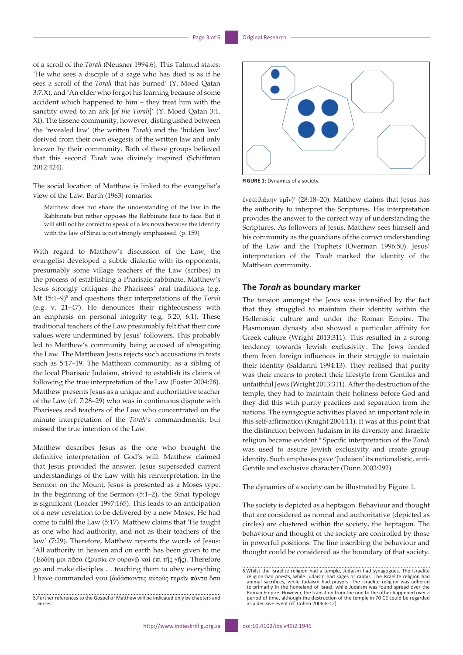of a scroll of the *Torah* (Neusner 1994:6). This Talmud states: 'He who sees a disciple of a sage who has died is as if he sees a scroll of the *Torah* that has burned' (Y. Moed Qatan 3:7.X), and 'An elder who forgot his learning because of some accident which happened to him – they treat him with the sanctity owed to an ark [*of the Torah*]' (Y. Moed Qatan 3:1. XI). The Essene community, however, distinguished between the 'revealed law' (the written *Torah*) and the 'hidden law' derived from their own exegesis of the written law and only known by their community. Both of these groups believed that this second *Torah* was divinely inspired (Schiffman 2012:424).

The social location of Matthew is linked to the evangelist's view of the Law. Barth (1963) remarks:

Matthew does not share the understanding of the law in the Rabbinate but rather opposes the Rabbinate face to face. But it will still not be correct to speak of a lex nova because the identity with the law of Sinai is not strongly emphasised. (p. 159)

With regard to Matthew's discussion of the Law, the evangelist developed a subtle dialectic with its opponents, presumably some village teachers of the Law (scribes) in the process of establishing a Pharisaic rabbinate. Matthew's Jesus strongly critiques the Pharisees' oral traditions (e.g. Mt 15:1–9)5 and questions their interpretations of the *Torah* (e.g. v. 21–47). He denounces their righteousness with an emphasis on personal integrity (e.g. 5:20; 6:1). These traditional teachers of the Law presumably felt that their core values were undermined by Jesus' followers. This probably led to Matthew's community being accused of abrogating the Law. The Matthean Jesus rejects such accusations in texts such as 5:17–19. The Matthean community, as a sibling of the local Pharisaic Judaism, strived to establish its claims of following the true interpretation of the Law (Foster 2004:28). Matthew presents Jesus as a unique and authoritative teacher of the Law (cf. 7:28–29) who was in continuous dispute with Pharisees and teachers of the Law who concentrated on the minute interpretation of the *Torah*'s commandments, but missed the true intention of the Law.

Matthew describes Jesus as the one who brought the definitive interpretation of God's will. Matthew claimed that Jesus provided the answer. Jesus superseded current understandings of the Law with his reinterpretation. In the Sermon on the Mount, Jesus is presented as a Moses type. In the beginning of the Sermon (5:1–2), the Sinai typology is significant (Loader 1997:165). This leads to an anticipation of a new revelation to be delivered by a new Moses. He had come to fulfil the Law (5:17). Matthew claims that 'He taught as one who had authority, and not as their teachers of the law' (7:29). Therefore, Matthew reports the words of Jesus: 'All authority in heaven and on earth has been given to me (Ἐδόθη μοι πᾶσα ἐξουσία ἐν οὐρανῷ καὶ ἐπὶ τῆς γῆς). Therefore go and make disciples … teaching them to obey everything I have commanded you (διδάσκοντες αὐτοὺς τηρεῖν πάντα ὅσα





**FIGURE 1:** Dynamics of a society.

ἐνετειλάμην ὑμῖν)' (28:18–20). Matthew claims that Jesus has the authority to interpret the Scriptures. His interpretation provides the answer to the correct way of understanding the Scriptures. As followers of Jesus, Matthew sees himself and his community as the guardians of the correct understanding of the Law and the Prophets (Overman 1996:50). Jesus' interpretation of the *Torah* marked the identity of the Matthean community.

## **The** *Torah* **as boundary marker**

The tension amongst the Jews was intensified by the fact that they struggled to maintain their identity within the Hellenistic culture and under the Roman Empire. The Hasmonean dynasty also showed a particular affinity for Greek culture (Wright 2013:311). This resulted in a strong tendency towards Jewish exclusivity. The Jews fended them from foreign influences in their struggle to maintain their identity (Saldarini 1994:13). They realised that purity was their means to protect their lifestyle from Gentiles and unfaithful Jews (Wright 2013:311). After the destruction of the temple, they had to maintain their holiness before God and they did this with purity practices and separation from the nations. The synagogue activities played an important role in this self-affirmation (Knight 2004:11). It was at this point that the distinction between Judaism in its diversity and Israelite religion became evident.6 Specific interpretation of the *Torah* was used to assure Jewish exclusivity and create group identity. Such emphases gave 'Judaism' its nationalistic, anti-Gentile and exclusive character (Dunn 2003:292).

The dynamics of a society can be illustrated by Figure 1.

The society is depicted as a heptagon. Behaviour and thought that are considered as normal and authoritative (depicted as circles) are clustered within the society, the heptagon. The behaviour and thought of the society are controlled by those in powerful positions. The line inscribing the behaviour and thought could be considered as the boundary of that society.

<sup>6.</sup>Whilst the Israelite religion had a temple, Judaism had synagogues. The Israelite religion had priests, while Judaism had sages or rabbis. The Israelite religion had animal sacrifices, while Judaism had prayers. The Israelite religion was adhered<br>to primarily in the homeland of Israel, while Judaism was found spread over the<br>Roman Empire. However, the transition from the one to the oth period of time, although the destruction of the temple in 70 CE could be regarded as a decisive event (cf. Cohen 2006:8-12).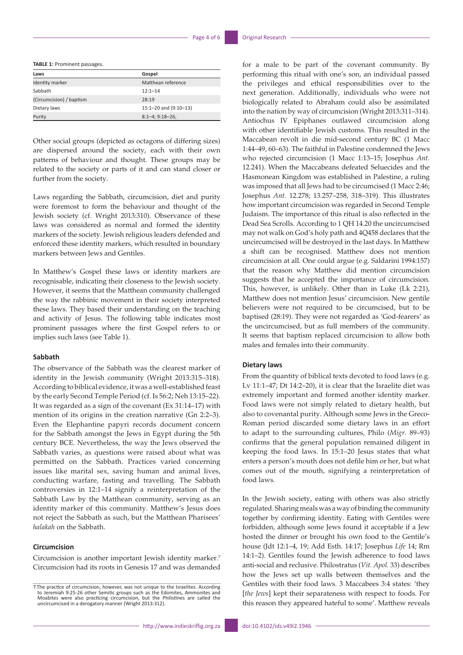**TABLE 1:** Prominent passages.

| Laws                     | Gospel                |
|--------------------------|-----------------------|
| Identity marker          | Matthean reference    |
| Sabbath                  | $12.1 - 14$           |
| (Circumcision) / baptism | 28:19                 |
| Dietary laws             | 15:1-20 and (9:10-13) |
| Purity                   | $8:1-4$ ; 9:18-26,    |

Other social groups (depicted as octagons of differing sizes) are dispersed around the society, each with their own patterns of behaviour and thought. These groups may be related to the society or parts of it and can stand closer or further from the society.

Laws regarding the Sabbath, circumcision, diet and purity were foremost to form the behaviour and thought of the Jewish society (cf. Wright 2013:310). Observance of these laws was considered as normal and formed the identity markers of the society. Jewish religious leaders defended and enforced these identity markers, which resulted in boundary markers between Jews and Gentiles.

In Matthew's Gospel these laws or identity markers are recognisable, indicating their closeness to the Jewish society. However, it seems that the Matthean community challenged the way the rabbinic movement in their society interpreted these laws. They based their understanding on the teaching and activity of Jesus. The following table indicates most prominent passages where the first Gospel refers to or implies such laws (see Table 1).

### **Sabbath**

The observance of the Sabbath was the clearest marker of identity in the Jewish community (Wright 2013:315–318). According to biblical evidence, it was a well-established feast by the early Second Temple Period (cf. Is 56:2; Neh 13:15–22). It was regarded as a sign of the covenant (Ex 31:14–17) with mention of its origins in the creation narrative (Gn 2:2–3). Even the Elephantine papyri records document concern for the Sabbath amongst the Jews in Egypt during the 5th century BCE. Nevertheless, the way the Jews observed the Sabbath varies, as questions were raised about what was permitted on the Sabbath. Practices varied concerning issues like marital sex, saving human and animal lives, conducting warfare, fasting and travelling. The Sabbath controversies in 12:1–14 signify a reinterpretation of the Sabbath Law by the Matthean community, serving as an identity marker of this community. Matthew's Jesus does not reject the Sabbath as such, but the Matthean Pharisees' *halakah* on the Sabbath.

## **Circumcision**

Circumcision is another important Jewish identity marker.7 Circumcision had its roots in Genesis 17 and was demanded

<http://www.indieskriflig.org.za> doi:10.4102/ids.v49i2.1946

for a male to be part of the covenant community. By performing this ritual with one's son, an individual passed the privileges and ethical responsibilities over to the next generation. Additionally, individuals who were not biologically related to Abraham could also be assimilated into the nation by way of circumcision (Wright 2013:311–314). Antiochus IV Epiphanes outlawed circumcision along with other identifiable Jewish customs. This resulted in the Maccabean revolt in die mid-second century BC (1 Macc 1:44–49, 60–63). The faithful in Palestine condemned the Jews who rejected circumcision (1 Macc 1:13–15; Josephus *Ant.* 12.241). When the Maccabeans defeated Seluecides and the Hasmonean Kingdom was established in Palestine, a ruling was imposed that all Jews had to be circumcised (1 Macc 2:46; Josephus *Ant.* 12.278; 13.257–258, 318–319). This illustrates how important circumcision was regarded in Second Temple Judaism. The importance of this ritual is also reflected in the Dead Sea Scrolls. According to 1 QH 14.20 the uncircumcised may not walk on God's holy path and 4Q458 declares that the uncircumcised will be destroyed in the last days. In Matthew a shift can be recognised. Matthew does not mention circumcision at all. One could argue (e.g. Saldarini 1994:157) that the reason why Matthew did mention circumcision suggests that he accepted the importance of circumcision. This, however, is unlikely. Other than in Luke (Lk 2:21), Matthew does not mention Jesus' circumcision. New gentile believers were not required to be circumcised, but to be baptised (28:19). They were not regarded as 'God-fearers' as the uncircumcised, but as full members of the community. It seems that baptism replaced circumcision to allow both males and females into their community.

#### **Dietary laws**

From the quantity of biblical texts devoted to food laws (e.g. Lv 11:1–47; Dt 14:2–20), it is clear that the Israelite diet was extremely important and formed another identity marker. Food laws were not simply related to dietary health, but also to covenantal purity. Although some Jews in the Greco-Roman period discarded some dietary laws in an effort to adapt to the surrounding cultures, Philo (*Migr*. 89–93) confirms that the general population remained diligent in keeping the food laws. In 15:1–20 Jesus states that what enters a person's mouth does not defile him or her, but what comes out of the mouth, signifying a reinterpretation of food laws.

In the Jewish society, eating with others was also strictly regulated. Sharing meals was a way of binding the community together by confirming identity. Eating with Gentiles were forbidden, although some Jews found it acceptable if a Jew hosted the dinner or brought his own food to the Gentile's house (Jdt 12:1–4, 19; Add Esth. 14:17; Josephus *Life* 14; Rm 14:1–2). Gentiles found the Jewish adherence to food laws anti-social and reclusive. Philostratus (*Vit. Apol.* 33) describes how the Jews set up walls between themselves and the Gentiles with their food laws. 3 Maccabees 3:4 states: 'they [*the Jews*] kept their separateness with respect to foods. For this reason they appeared hateful to some'. Matthew reveals

<sup>7.</sup> The practice of circumcision, however, was not unique to the Israelites. According to Jeremiah 9:25-26 other Semitic groups such as the Edomites, Ammonites and Moabites were also practicing circumcision, but the Philist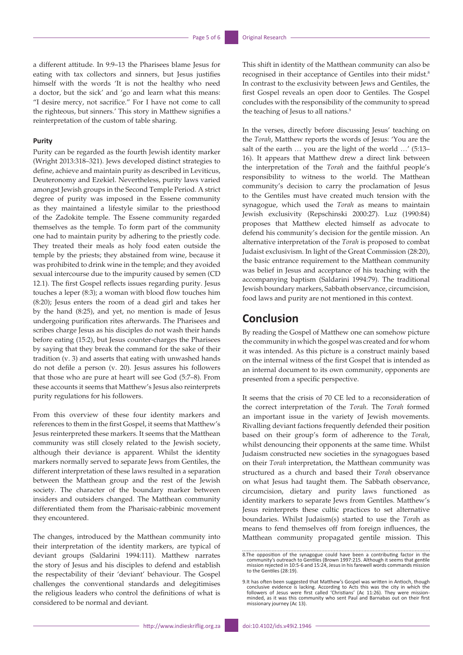a different attitude. In 9:9–13 the Pharisees blame Jesus for eating with tax collectors and sinners, but Jesus justifies himself with the words 'It is not the healthy who need a doctor, but the sick' and 'go and learn what this means: "I desire mercy, not sacrifice." For I have not come to call the righteous, but sinners.' This story in Matthew signifies a reinterpretation of the custom of table sharing.

### **Purity**

Purity can be regarded as the fourth Jewish identity marker (Wright 2013:318–321). Jews developed distinct strategies to define, achieve and maintain purity as described in Leviticus, Deuteronomy and Ezekiel. Nevertheless, purity laws varied amongst Jewish groups in the Second Temple Period. A strict degree of purity was imposed in the Essene community as they maintained a lifestyle similar to the priesthood of the Zadokite temple. The Essene community regarded themselves as the temple. To form part of the community one had to maintain purity by adhering to the priestly code. They treated their meals as holy food eaten outside the temple by the priests; they abstained from wine, because it was prohibited to drink wine in the temple; and they avoided sexual intercourse due to the impurity caused by semen (CD 12.1). The first Gospel reflects issues regarding purity. Jesus touches a leper (8:3); a woman with blood flow touches him (8:20); Jesus enters the room of a dead girl and takes her by the hand (8:25), and yet, no mention is made of Jesus undergoing purification rites afterwards. The Pharisees and scribes charge Jesus as his disciples do not wash their hands before eating (15:2), but Jesus counter-charges the Pharisees by saying that they break the command for the sake of their tradition (v. 3) and asserts that eating with unwashed hands do not defile a person (v. 20). Jesus assures his followers that those who are pure at heart will see God (5:7–8). From these accounts it seems that Matthew's Jesus also reinterprets purity regulations for his followers.

From this overview of these four identity markers and references to them in the first Gospel, it seems that Matthew's Jesus reinterpreted these markers. It seems that the Matthean community was still closely related to the Jewish society, although their deviance is apparent. Whilst the identity markers normally served to separate Jews from Gentiles, the different interpretation of these laws resulted in a separation between the Matthean group and the rest of the Jewish society. The character of the boundary marker between insiders and outsiders changed. The Matthean community differentiated them from the Pharisaic-rabbinic movement they encountered.

The changes, introduced by the Matthean community into their interpretation of the identity markers, are typical of deviant groups (Saldarini 1994:111). Matthew narrates the story of Jesus and his disciples to defend and establish the respectability of their 'deviant' behaviour. The Gospel challenges the conventional standards and delegitimises the religious leaders who control the definitions of what is considered to be normal and deviant.

This shift in identity of the Matthean community can also be recognised in their acceptance of Gentiles into their midst.<sup>8</sup> In contrast to the exclusivity between Jews and Gentiles, the first Gospel reveals an open door to Gentiles. The Gospel concludes with the responsibility of the community to spread the teaching of Jesus to all nations.<sup>9</sup>

In the verses, directly before discussing Jesus' teaching on the *Torah*, Matthew reports the words of Jesus: 'You are the salt of the earth … you are the light of the world …' (5:13– 16). It appears that Matthew drew a direct link between the interpretation of the *Torah* and the faithful people's responsibility to witness to the world. The Matthean community's decision to carry the proclamation of Jesus to the Gentiles must have created much tension with the synagogue, which used the *Torah* as means to maintain Jewish exclusivity (Repschinski 2000:27). Luz (1990:84) proposes that Matthew elected himself as advocate to defend his community's decision for the gentile mission. An alternative interpretation of the *Torah* is proposed to combat Judaist exclusivism. In light of the Great Commission (28:20), the basic entrance requirement to the Matthean community was belief in Jesus and acceptance of his teaching with the accompanying baptism (Saldarini 1994:79). The traditional Jewish boundary markers, Sabbath observance, circumcision, food laws and purity are not mentioned in this context.

# **Conclusion**

By reading the Gospel of Matthew one can somehow picture the community in which the gospel was created and for whom it was intended. As this picture is a construct mainly based on the internal witness of the first Gospel that is intended as an internal document to its own community, opponents are presented from a specific perspective.

It seems that the crisis of 70 CE led to a reconsideration of the correct interpretation of the *Torah*. The *Torah* formed an important issue in the variety of Jewish movements. Rivalling deviant factions frequently defended their position based on their group's form of adherence to the *Torah*, whilst denouncing their opponents at the same time. Whilst Judaism constructed new societies in the synagogues based on their *Torah* interpretation, the Matthean community was structured as a church and based their *Torah* observance on what Jesus had taught them. The Sabbath observance, circumcision, dietary and purity laws functioned as identity markers to separate Jews from Gentiles. Matthew's Jesus reinterprets these cultic practices to set alternative boundaries. Whilst Judaism(s) started to use the *Tora*h as means to fend themselves off from foreign influences, the Matthean community propagated gentile mission. This

<sup>8.</sup>The opposition of the synagogue could have been a contributing factor in the community's outreach to Gentiles (Brown 1997:215. Although it seems that gentile mission rejected in 10:5-6 and 15:24, Jesus in his farewell words commands mission to the Gentiles (28:19).

<sup>9.</sup> It has often been suggested that Matthew's Gospel was written in Antioch, though<br>conclusive evidence is lacking. According to Acts this was the city in which the<br>followers of Jesus were first called 'Christians' (Ac 11: minded, as it was this community who sent Paul and Barnabas out on their first missionary journey (Ac 13).